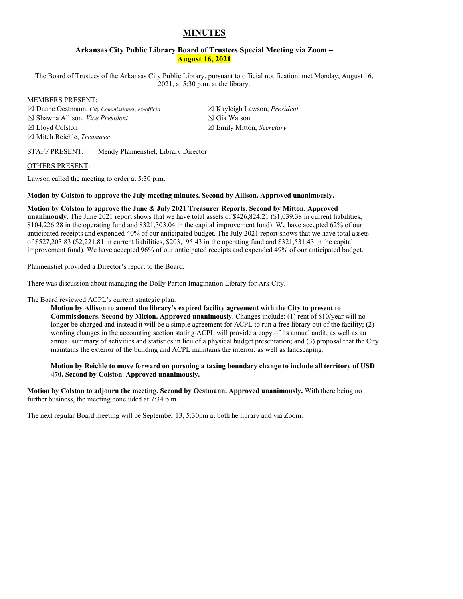# **MINUTES**

#### **Arkansas City Public Library Board of Trustees Special Meeting via Zoom – August 16, 2021**

The Board of Trustees of the Arkansas City Public Library, pursuant to official notification, met Monday, August 16, 2021, at 5:30 p.m. at the library.

#### MEMBERS PRESENT:

☒ Duane Oestmann, *City Commissioner, ex-officio* ☒ Shawna Allison, *Vice President* ☒ Lloyd Colston ☒ Mitch Reichle, *Treasurer*

☒ Kayleigh Lawson, *President* ☒ Gia Watson ☒ Emily Mitton, *Secretary*

#### STAFF PRESENT: Mendy Pfannenstiel, Library Director

#### OTHERS PRESENT:

Lawson called the meeting to order at 5:30 p.m.

#### **Motion by Colston to approve the July meeting minutes. Second by Allison. Approved unanimously.**

# **Motion by Colston to approve the June & July 2021 Treasurer Reports. Second by Mitton. Approved**

**unanimously.** The June 2021 report shows that we have total assets of \$426,824.21 (\$1,039.38 in current liabilities, \$104,226.28 in the operating fund and \$321,303.04 in the capital improvement fund). We have accepted 62% of our anticipated receipts and expended 40% of our anticipated budget. The July 2021 report shows that we have total assets of \$527,203.83 (\$2,221.81 in current liabilities, \$203,195.43 in the operating fund and \$321,531.43 in the capital improvement fund). We have accepted 96% of our anticipated receipts and expended 49% of our anticipated budget.

Pfannenstiel provided a Director's report to the Board.

There was discussion about managing the Dolly Parton Imagination Library for Ark City.

#### The Board reviewed ACPL's current strategic plan.

**Motion by Allison to amend the library's expired facility agreement with the City to present to Commissioners. Second by Mitton. Approved unanimously**. Changes include: (1) rent of \$10/year will no longer be charged and instead it will be a simple agreement for ACPL to run a free library out of the facility; (2) wording changes in the accounting section stating ACPL will provide a copy of its annual audit, as well as an annual summary of activities and statistics in lieu of a physical budget presentation; and (3) proposal that the City maintains the exterior of the building and ACPL maintains the interior, as well as landscaping.

**Motion by Reichle to move forward on pursuing a taxing boundary change to include all territory of USD 470. Second by Colston**. **Approved unanimously.**

**Motion by Colston to adjourn the meeting. Second by Oestmann. Approved unanimously.** With there being no further business, the meeting concluded at 7:34 p.m.

The next regular Board meeting will be September 13, 5:30pm at both he library and via Zoom.